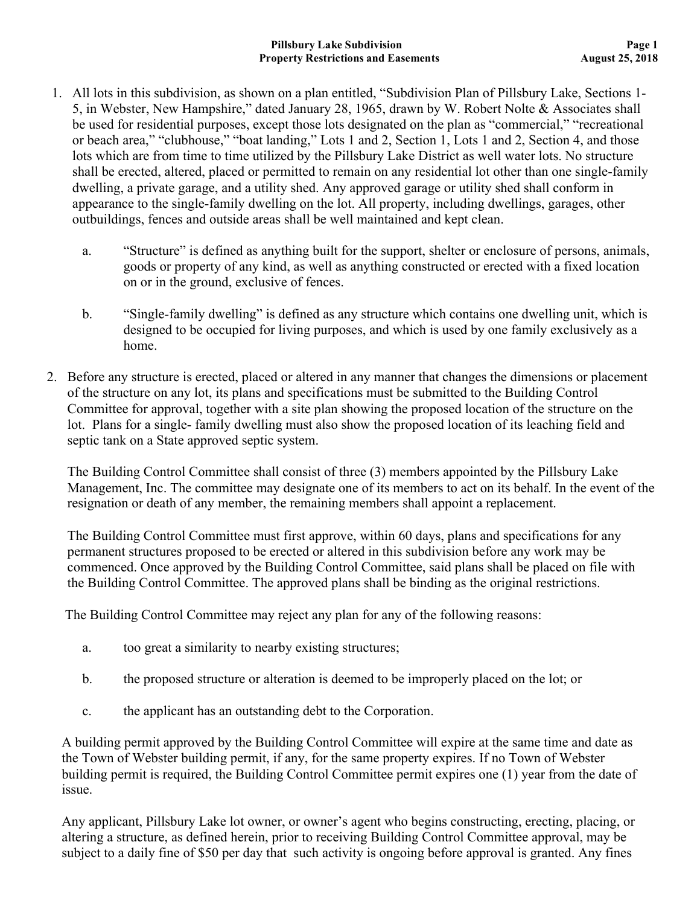- 1. All lots in this subdivision, as shown on a plan entitled, "Subdivision Plan of Pillsbury Lake, Sections 1- 5, in Webster, New Hampshire," dated January 28, 1965, drawn by W. Robert Nolte & Associates shall be used for residential purposes, except those lots designated on the plan as "commercial," "recreational or beach area," "clubhouse," "boat landing," Lots 1 and 2, Section 1, Lots 1 and 2, Section 4, and those lots which are from time to time utilized by the Pillsbury Lake District as well water lots. No structure shall be erected, altered, placed or permitted to remain on any residential lot other than one single-family dwelling, a private garage, and a utility shed. Any approved garage or utility shed shall conform in appearance to the single-family dwelling on the lot. All property, including dwellings, garages, other outbuildings, fences and outside areas shall be well maintained and kept clean.
	- a. "Structure" is defined as anything built for the support, shelter or enclosure of persons, animals, goods or property of any kind, as well as anything constructed or erected with a fixed location on or in the ground, exclusive of fences.
	- b. "Single-family dwelling" is defined as any structure which contains one dwelling unit, which is designed to be occupied for living purposes, and which is used by one family exclusively as a home.
- 2. Before any structure is erected, placed or altered in any manner that changes the dimensions or placement of the structure on any lot, its plans and specifications must be submitted to the Building Control Committee for approval, together with a site plan showing the proposed location of the structure on the lot. Plans for a single- family dwelling must also show the proposed location of its leaching field and septic tank on a State approved septic system.

The Building Control Committee shall consist of three (3) members appointed by the Pillsbury Lake Management, Inc. The committee may designate one of its members to act on its behalf. In the event of the resignation or death of any member, the remaining members shall appoint a replacement.

The Building Control Committee must first approve, within 60 days, plans and specifications for any permanent structures proposed to be erected or altered in this subdivision before any work may be commenced. Once approved by the Building Control Committee, said plans shall be placed on file with the Building Control Committee. The approved plans shall be binding as the original restrictions.

The Building Control Committee may reject any plan for any of the following reasons:

- a. too great a similarity to nearby existing structures;
- b. the proposed structure or alteration is deemed to be improperly placed on the lot; or
- c. the applicant has an outstanding debt to the Corporation.

A building permit approved by the Building Control Committee will expire at the same time and date as the Town of Webster building permit, if any, for the same property expires. If no Town of Webster building permit is required, the Building Control Committee permit expires one (1) year from the date of issue.

Any applicant, Pillsbury Lake lot owner, or owner's agent who begins constructing, erecting, placing, or altering a structure, as defined herein, prior to receiving Building Control Committee approval, may be subject to a daily fine of \$50 per day that such activity is ongoing before approval is granted. Any fines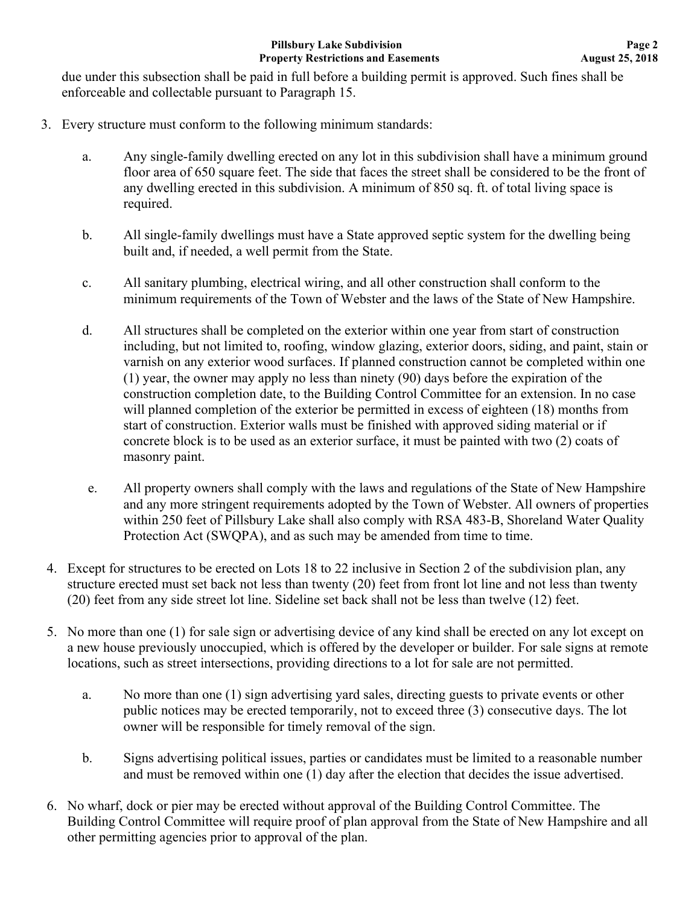due under this subsection shall be paid in full before a building permit is approved. Such fines shall be enforceable and collectable pursuant to Paragraph 15.

- 3. Every structure must conform to the following minimum standards:
	- a. Any single-family dwelling erected on any lot in this subdivision shall have a minimum ground floor area of 650 square feet. The side that faces the street shall be considered to be the front of any dwelling erected in this subdivision. A minimum of 850 sq. ft. of total living space is required.
	- b. All single-family dwellings must have a State approved septic system for the dwelling being built and, if needed, a well permit from the State.
	- c. All sanitary plumbing, electrical wiring, and all other construction shall conform to the minimum requirements of the Town of Webster and the laws of the State of New Hampshire.
	- d. All structures shall be completed on the exterior within one year from start of construction including, but not limited to, roofing, window glazing, exterior doors, siding, and paint, stain or varnish on any exterior wood surfaces. If planned construction cannot be completed within one (1) year, the owner may apply no less than ninety (90) days before the expiration of the construction completion date, to the Building Control Committee for an extension. In no case will planned completion of the exterior be permitted in excess of eighteen (18) months from start of construction. Exterior walls must be finished with approved siding material or if concrete block is to be used as an exterior surface, it must be painted with two (2) coats of masonry paint.
	- e. All property owners shall comply with the laws and regulations of the State of New Hampshire and any more stringent requirements adopted by the Town of Webster. All owners of properties within 250 feet of Pillsbury Lake shall also comply with RSA 483-B, Shoreland Water Quality Protection Act (SWQPA), and as such may be amended from time to time.
- 4. Except for structures to be erected on Lots 18 to 22 inclusive in Section 2 of the subdivision plan, any structure erected must set back not less than twenty (20) feet from front lot line and not less than twenty (20) feet from any side street lot line. Sideline set back shall not be less than twelve (12) feet.
- 5. No more than one (1) for sale sign or advertising device of any kind shall be erected on any lot except on a new house previously unoccupied, which is offered by the developer or builder. For sale signs at remote locations, such as street intersections, providing directions to a lot for sale are not permitted.
	- a. No more than one (1) sign advertising yard sales, directing guests to private events or other public notices may be erected temporarily, not to exceed three (3) consecutive days. The lot owner will be responsible for timely removal of the sign.
	- b. Signs advertising political issues, parties or candidates must be limited to a reasonable number and must be removed within one (1) day after the election that decides the issue advertised.
- 6. No wharf, dock or pier may be erected without approval of the Building Control Committee. The Building Control Committee will require proof of plan approval from the State of New Hampshire and all other permitting agencies prior to approval of the plan.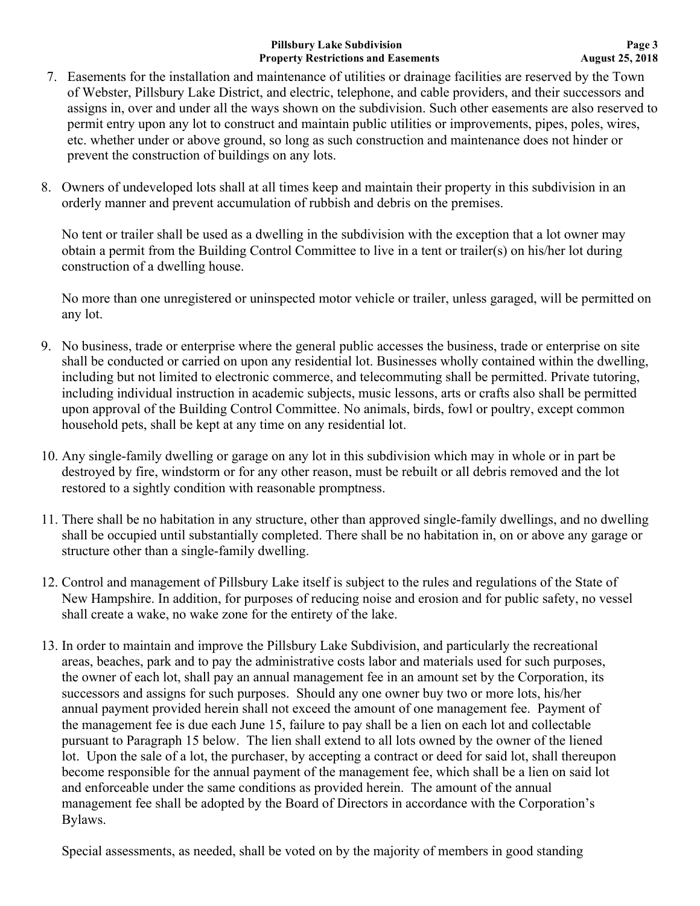## **Pillsbury Lake Subdivision Property Restrictions and Easements**

- 7. Easements for the installation and maintenance of utilities or drainage facilities are reserved by the Town of Webster, Pillsbury Lake District, and electric, telephone, and cable providers, and their successors and assigns in, over and under all the ways shown on the subdivision. Such other easements are also reserved to permit entry upon any lot to construct and maintain public utilities or improvements, pipes, poles, wires, etc. whether under or above ground, so long as such construction and maintenance does not hinder or prevent the construction of buildings on any lots.
- 8. Owners of undeveloped lots shall at all times keep and maintain their property in this subdivision in an orderly manner and prevent accumulation of rubbish and debris on the premises.

No tent or trailer shall be used as a dwelling in the subdivision with the exception that a lot owner may obtain a permit from the Building Control Committee to live in a tent or trailer(s) on his/her lot during construction of a dwelling house.

No more than one unregistered or uninspected motor vehicle or trailer, unless garaged, will be permitted on any lot.

- 9. No business, trade or enterprise where the general public accesses the business, trade or enterprise on site shall be conducted or carried on upon any residential lot. Businesses wholly contained within the dwelling, including but not limited to electronic commerce, and telecommuting shall be permitted. Private tutoring, including individual instruction in academic subjects, music lessons, arts or crafts also shall be permitted upon approval of the Building Control Committee. No animals, birds, fowl or poultry, except common household pets, shall be kept at any time on any residential lot.
- 10. Any single-family dwelling or garage on any lot in this subdivision which may in whole or in part be destroyed by fire, windstorm or for any other reason, must be rebuilt or all debris removed and the lot restored to a sightly condition with reasonable promptness.
- 11. There shall be no habitation in any structure, other than approved single-family dwellings, and no dwelling shall be occupied until substantially completed. There shall be no habitation in, on or above any garage or structure other than a single-family dwelling.
- 12. Control and management of Pillsbury Lake itself is subject to the rules and regulations of the State of New Hampshire. In addition, for purposes of reducing noise and erosion and for public safety, no vessel shall create a wake, no wake zone for the entirety of the lake.
- 13. In order to maintain and improve the Pillsbury Lake Subdivision, and particularly the recreational areas, beaches, park and to pay the administrative costs labor and materials used for such purposes, the owner of each lot, shall pay an annual management fee in an amount set by the Corporation, its successors and assigns for such purposes. Should any one owner buy two or more lots, his/her annual payment provided herein shall not exceed the amount of one management fee. Payment of the management fee is due each June 15, failure to pay shall be a lien on each lot and collectable pursuant to Paragraph 15 below. The lien shall extend to all lots owned by the owner of the liened lot. Upon the sale of a lot, the purchaser, by accepting a contract or deed for said lot, shall thereupon become responsible for the annual payment of the management fee, which shall be a lien on said lot and enforceable under the same conditions as provided herein. The amount of the annual management fee shall be adopted by the Board of Directors in accordance with the Corporation's Bylaws.

Special assessments, as needed, shall be voted on by the majority of members in good standing